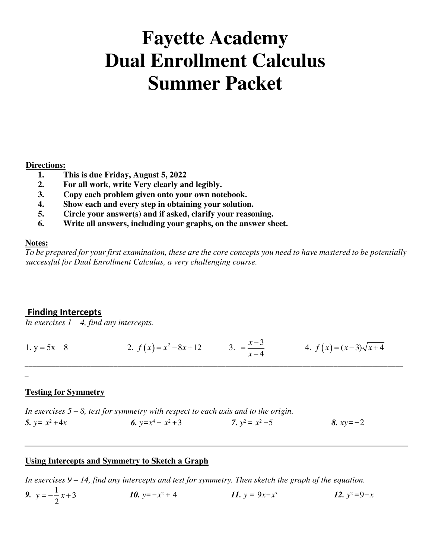# **Fayette Academy Dual Enrollment Calculus Summer Packet**

## **Directions:**

- **1. This is due Friday, August 5, 2022**
- **2. For all work, write Very clearly and legibly.**
- **3. Copy each problem given onto your own notebook.**
- **4. Show each and every step in obtaining your solution.**
- **5. Circle your answer(s) and if asked, clarify your reasoning.**
- **6. Write all answers, including your graphs, on the answer sheet.**

## **Notes:**

*To be prepared for your first examination, these are the core concepts you need to have mastered to be potentially successful for Dual Enrollment Calculus, a very challenging course.* 

## **Finding Intercepts**

*In exercises*  $1 - 4$ *, find any intercepts.* 

1. 
$$
y = 5x - 8
$$
  
2.  $f(x) = x^2 - 8x + 12$   
3.  $=\frac{x - 3}{x - 4}$   
4.  $f(x) = (x - 3)\sqrt{x + 4}$ 

\_\_\_\_\_\_\_\_\_\_\_\_\_\_\_\_\_\_\_\_\_\_\_\_\_\_\_\_\_\_\_\_\_\_\_\_\_\_\_\_\_\_\_\_\_\_\_\_\_\_\_\_\_\_\_\_\_\_\_\_\_\_\_\_\_\_\_\_\_\_\_\_\_\_\_\_\_\_\_\_\_\_\_\_\_\_\_\_\_\_\_\_\_\_\_\_\_\_

 $\overline{a}$ 

## **Testing for Symmetry**

*In exercises 5 – 8, test for symmetry with respect to each axis and to the origin.*  5.  $y = x^2 + 4x$ 2+4*x* 6.  $y=x^4-x^2+3$  7. *y* 7.  $y^2 = x^2 - 5$ <sup>2</sup>−5 *8. xy*=−2

## **Using Intercepts and Symmetry to Sketch a Graph**

*In exercises 9 – 14, find any intercepts and test for symmetry. Then sketch the graph of the equation.* 

9.  $y = -\frac{1}{2}x + 3$ 2  $y = -\frac{1}{2}x + 3$  *10.*  $y = -x$ 2 + 4  $11. y = 9x-x^3$ *12.*  $y^2 = 9 - x$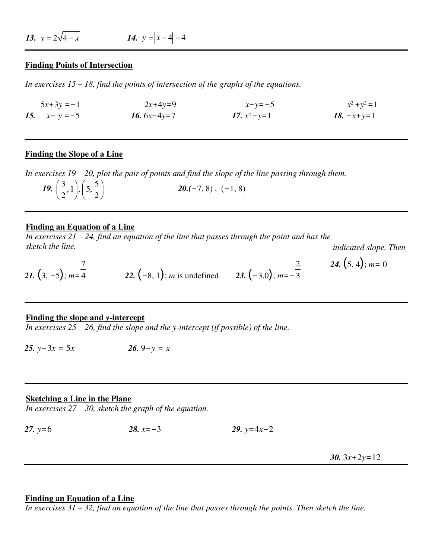*13.*  $y = 2\sqrt{4-x}$  *14.*  $y = |x-4|-4$ 

#### **Finding Points of Intersection**

*In exercises 15 – 18, find the points of intersection of the graphs of the equations.* 

 $5x+3y = -1$  2*x*+4*y*=9 *x*−*y*=−5  $y^2 + y^2 = 1$ *15.*  $x - y = -5$  *16.*  $6x - 4y = 7$  *17.*  $x^2 - y = 1$ <sup>2</sup>−*y*=1 *18.* −*x*+*y*=1

#### **Finding the Slope of a Line**

*In exercises 19 – 20, plot the pair of points and find the slope of the line passing through them.* 

*19.*  $\left(\frac{3}{2},1\right), \left(5, \frac{5}{2}\right)$  $\left(\frac{3}{2},1\right), \left(5,\frac{5}{2}\right)$  **20.**(-7, 8), (-1, 8)

#### **Finding an Equation of a Line**

 $\overline{In exercises 21 - 24, find an equation of the line that passes through the point and has the$ *sketch the line.* 

*indicated slope. Then* 

21. 
$$
(3, -5)
$$
;  $m=\frac{7}{4}$  22.  $(-8, 1)$ ; m is undefined 23.  $(-3, 0)$ ;  $m=-\frac{2}{3}$  24.  $(5, 4)$ ;  $m=0$ 

#### **Finding the slope and** *y***-intercept**

*In exercises 25 – 26, find the slope and the y-intercept (if possible) of the line.* 

*25.*  $y-3x = 5x$  26.  $9−y = x$ 

#### **Sketching a Line in the Plane**

*In exercises 27 – 30, sketch the graph of the equation.* 

*27. y*=6 *28. x*=−3 *29. y*=4*x*−2

30.  $3x+2y=12$ 

## **Finding an Equation of a Line**

*In exercises 31 – 32, find an equation of the line that passes through the points. Then sketch the line.*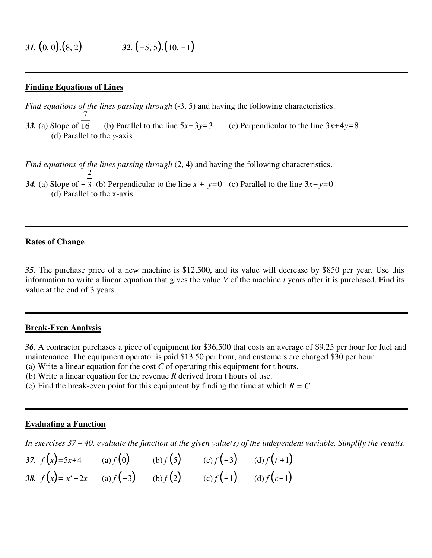## **Finding Equations of Lines**

*Find equations of the lines passing through*  $(-3, 5)$  and having the following characteristics.

33. (a) Slope of 16 (b) Parallel to the line  $5x-3y=3$  (c) Perpendicular to the line  $3x+4y=8$ (d) Parallel to the *y*-axis

*Find equations of the lines passing through*  $(2, 4)$  and having the following characteristics. *34.* (a) Slope of −3 (b) Perpendicular to the line  $x + y=0$  (c) Parallel to the line  $3x-y=0$ (d) Parallel to the x-axis

## **Rates of Change**

*35.* The purchase price of a new machine is \$12,500, and its value will decrease by \$850 per year. Use this information to write a linear equation that gives the value *V* of the machine *t* years after it is purchased. Find its value at the end of 3 years.

#### **Break-Even Analysis**

*36.* A contractor purchases a piece of equipment for \$36,500 that costs an average of \$9.25 per hour for fuel and maintenance. The equipment operator is paid \$13.50 per hour, and customers are charged \$30 per hour.

- (a) Write a linear equation for the cost *C* of operating this equipment for t hours.
- (b) Write a linear equation for the revenue *R* derived from t hours of use.
- (c) Find the break-even point for this equipment by finding the time at which  $R = C$ .

#### **Evaluating a Function**

*In exercises 37 – 40, evaluate the function at the given value(s) of the independent variable. Simplify the results.*

| 37. $f(x)=5x+4$ (a) $f(0)$ (b) $f(5)$ (c) $f(-3)$ (d) $f(t+1)$        |  |  |
|-----------------------------------------------------------------------|--|--|
| 38. $f(x) = x^3 - 2x$ (a) $f(-3)$ (b) $f(2)$ (c) $f(-1)$ (d) $f(c-1)$ |  |  |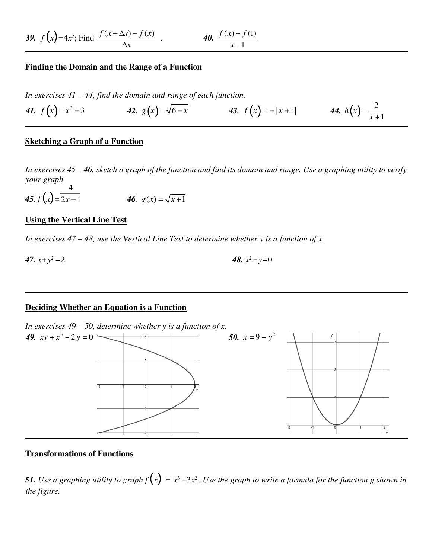**39.** 
$$
f(x)=4x^2
$$
; Find  $\frac{f(x+\Delta x)-f(x)}{\Delta x}$ .  
**40.**  $\frac{f(x)-f(1)}{x-1}$ 

### **Finding the Domain and the Range of a Function**

*In exercises 41 – 44, find the domain and range of each function.*

*41.*  $f(x) = x^2 + 3$  *42.*  $g(x) = \sqrt{6-x}$  *43.*  $f(x) = -|x+1|$  *44.*  $h(x) = \frac{2}{x+1}$ *x* +1

#### **Sketching a Graph of a Function**

*In exercises 45 – 46, sketch a graph of the function and find its domain and range. Use a graphing utility to verify your graph*  $\overline{4}$ 

45.  $f(x) = \overline{2x-1}$  46.  $g(x) = \sqrt{x+1}$ 

### **Using the Vertical Line Test**

*In exercises 47 – 48, use the Vertical Line Test to determine whether y is a function of x.* 

47.  $x+y^2=2$  $2^2 = 2$  48. *x* 48.  $x^2 - y = 0$ 

#### **Deciding Whether an Equation is a Function**

*In exercises 49 – 50, determine whether y is a function of x.* 



### **Transformations of Functions**

**51.** Use a graphing utility to graph  $f(x) = x^3 - 3x^2$  . Use the graph to write a formula for the function g shown in *the figure.*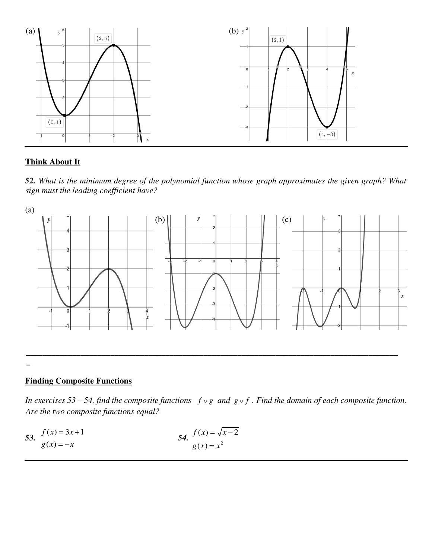

## **Think About It**

*52. What is the minimum degree of the polynomial function whose graph approximates the given graph? What sign must the leading coefficient have?* 



## **Finding Composite Functions**

*In exercises 53 – 54, find the composite functions*  $f \circ g$  *and*  $g \circ f$ . Find the domain of each composite function. *Are the two composite functions equal?* 

53. 
$$
f(x) = 3x+1
$$
  
\n $g(x) = -x$   
\n54.  $f(x) = \sqrt{x-2}$   
\n $g(x) = x^2$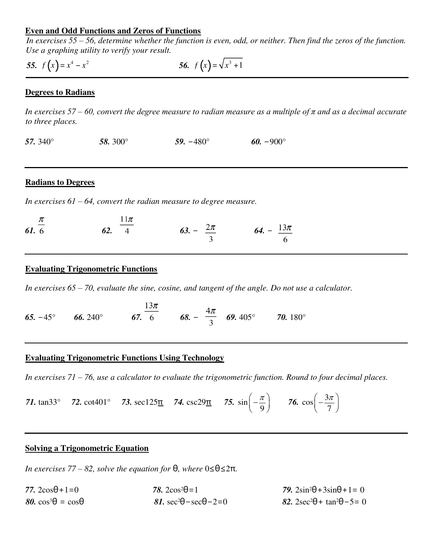## **Even and Odd Functions and Zeros of Functions**

*In exercises 55 – 56, determine whether the function is even, odd, or neither. Then find the zeros of the function. Use a graphing utility to verify your result.* 

55.  $f(x) = x^4 - x^2$  56.  $f(x) = \sqrt{x^3 + 1}$ 

## **Degrees to Radians**

*In exercises 57 – 60, convert the degree measure to radian measure as a multiple of π and as a decimal accurate to three places.* 

*57.* 340° *58.* 300° *59.* −480° *60.* −900°

#### **Radians to Degrees**

*In exercises 61 – 64, convert the radian measure to degree measure.* 

 $11 -$ 

| $\frac{\pi}{\pi}$ | $11\pi$<br>$ -$ |                        |                         |
|-------------------|-----------------|------------------------|-------------------------|
| 61.6              | 62. $4$         | 63. – $\frac{2\pi}{2}$ | 64. – $\frac{13\pi}{4}$ |
|                   |                 |                        | $\sim$ 6                |

## **Evaluating Trigonometric Functions**

*In exercises 65 – 70, evaluate the sine, cosine, and tangent of the angle. Do not use a calculator.* 

*65.* −45° *66.* 240° *67.*  $\frac{13\pi}{6}$  *68.* −  $\frac{4\pi}{3}$  *69.* 405° *70.* 180°

## **Evaluating Trigonometric Functions Using Technology**

*In exercises 71 – 76, use a calculator to evaluate the trigonometric function. Round to four decimal places.* 

71. 
$$
\tan 33^\circ
$$
 72.  $\cot 401^\circ$  73.  $\sec 125 \pi$  74.  $\csc 29 \pi$  75.  $\sin \left(-\frac{\pi}{9}\right)$  76.  $\cos \left(-\frac{3\pi}{7}\right)$ 

## **Solving a Trigonometric Equation**

*In exercises 77 – 82, solve the equation for*  $θ$ *, where*  $0 ≤ θ ≤ 2π$ *.* 

| 77. $2\cos\theta + 1 = 0$       | 78. $2\cos^2\theta = 1$                 | <b>79.</b> $2\sin^2\theta + 3\sin\theta + 1 = 0$ |
|---------------------------------|-----------------------------------------|--------------------------------------------------|
| $80. \cos^3\theta = \cos\theta$ | 81. $\sec^2\theta - \sec\theta - 2 = 0$ | 82. $2\sec^2\theta + \tan^2\theta - 5 = 0$       |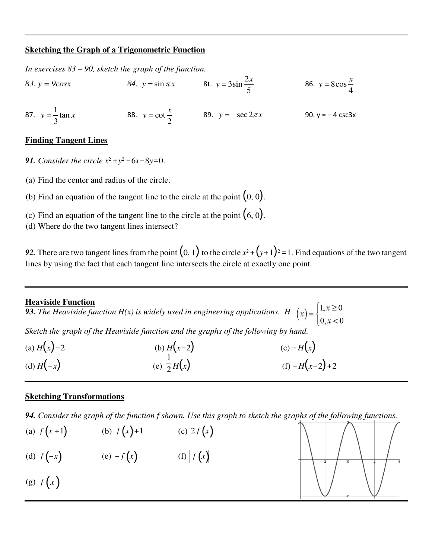## **Sketching the Graph of a Trigonometric Function**

*In exercises 83 – 90, sketch the graph of the function.* 

83.  $y = 9\cos x$  84.  $y = \sin \pi x$  8t.  $y = 3\sin \frac{2}{x}$ 5 *x*  $y = 3\sin{\frac{2x}{5}}$  86.  $y = 8\cos{\frac{1}{5}}$ 4  $y = 8\cos\frac{x}{4}$ 87.  $y = \frac{1}{2} \tan \theta$ 3  $y = \frac{1}{2} \tan x$  88.  $y = \cot x$ 2  $y = \cot \frac{x}{2}$  89.  $y = -\sec 2\pi x$  90.  $y = -4 \csc 3x$ 

## **Finding Tangent Lines**

- *91. Consider the circle x*<sup>2</sup> +*y*<sup>2</sup> −6*x*−8*y*=0.
- (a) Find the center and radius of the circle.
- (b) Find an equation of the tangent line to the circle at the point  $(0, 0)$ .
- (c) Find an equation of the tangent line to the circle at the point  $(6, 0)$ .
- (d) Where do the two tangent lines intersect?

**92.** There are two tangent lines from the point  $(0, 1)$  to the circle  $x^2 + (y+1)^2 = 1$ . Find equations of the two tangent lines by using the fact that each tangent line intersects the circle at exactly one point.

## **Heaviside Function**

**93.** *The Heaviside function H(x) is widely used in engineering applications.*  $H(x) = \begin{cases} 1, & x \ge 0 \\ 0, & x < 0 \end{cases}$ 

*Sketch the graph of the Heaviside function and the graphs of the following by hand.* 

| (a) $H(x) - 2$ | (b) $H(x-2)$          | (c) $-H(x)$     |
|----------------|-----------------------|-----------------|
| (d) $H(-x)$    | (e) $\frac{1}{2}H(x)$ | (f) $-H(x-2)+2$ |

## **Sketching Transformations**

*94. Consider the graph of the function f shown. Use this graph to sketch the graphs of the following functions.*

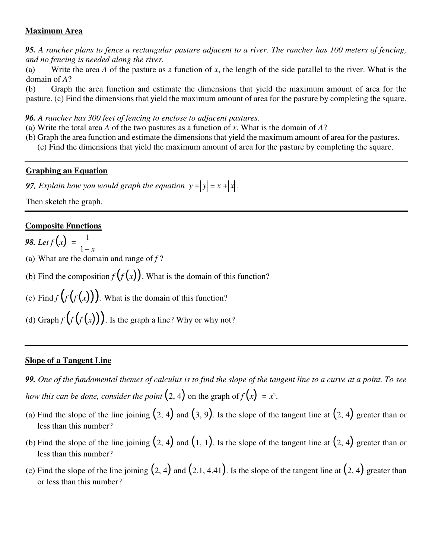## **Maximum Area**

*95. A rancher plans to fence a rectangular pasture adjacent to a river. The rancher has 100 meters of fencing, and no fencing is needed along the river.*

(a) Write the area *A* of the pasture as a function of *x*, the length of the side parallel to the river. What is the domain of *A*?

(b) Graph the area function and estimate the dimensions that yield the maximum amount of area for the pasture. (c) Find the dimensions that yield the maximum amount of area for the pasture by completing the square.

*96. A rancher has 300 feet of fencing to enclose to adjacent pastures.*

- (a) Write the total area *A* of the two pastures as a function of *x*. What is the domain of *A*?
- (b) Graph the area function and estimate the dimensions that yield the maximum amount of area for the pastures. (c) Find the dimensions that yield the maximum amount of area for the pasture by completing the square.

## **Graphing an Equation**

**97.** Explain how you would graph the equation  $y + |y| = x + |x|$ .

Then sketch the graph.

## **Composite Functions**

**98.** Let  $f(x) = \frac{1}{1}$  $1 - x$ 

(a) What are the domain and range of *f* ?

(b) Find the composition  $f(f(x))$ . What is the domain of this function?

(c) Find  $f(f(x))$ . What is the domain of this function?

(d) Graph  $f(f(f(x)))$ . Is the graph a line? Why or why not?

## **Slope of a Tangent Line**

*99. One of the fundamental themes of calculus is to find the slope of the tangent line to a curve at a point. To see how this can be done, consider the point*  $(2, 4)$  on the graph of  $f(x) = x^2$ .

- (a) Find the slope of the line joining  $(2, 4)$  and  $(3, 9)$ . Is the slope of the tangent line at  $(2, 4)$  greater than or less than this number?
- (b) Find the slope of the line joining  $(2, 4)$  and  $(1, 1)$ . Is the slope of the tangent line at  $(2, 4)$  greater than or less than this number?
- (c) Find the slope of the line joining  $(2, 4)$  and  $(2.1, 4.41)$ . Is the slope of the tangent line at  $(2, 4)$  greater than or less than this number?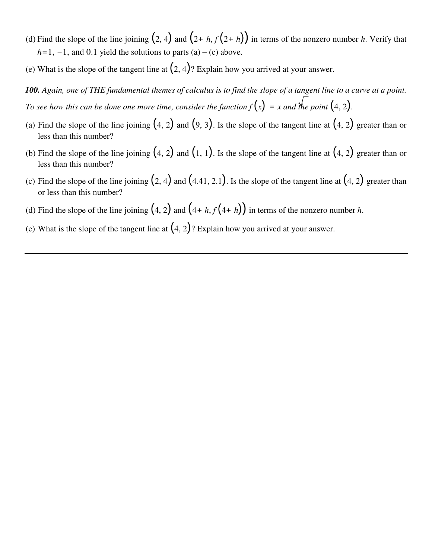- (d) Find the slope of the line joining  $(2, 4)$  and  $(2 + h, f(2 + h))$  in terms of the nonzero number *h*. Verify that  $h=1, -1$ , and 0.1 yield the solutions to parts (a) – (c) above.
- (e) What is the slope of the tangent line at  $(2, 4)$ ? Explain how you arrived at your answer.

*100. Again, one of THE fundamental themes of calculus is to find the slope of a tangent line to a curve at a point. To see how this can be done one more time, consider the function*  $f(x) = x$  *and the point*  $(4, 2)$ *.* 

- (a) Find the slope of the line joining  $(4, 2)$  and  $(9, 3)$ . Is the slope of the tangent line at  $(4, 2)$  greater than or less than this number?
- (b) Find the slope of the line joining  $(4, 2)$  and  $(1, 1)$ . Is the slope of the tangent line at  $(4, 2)$  greater than or less than this number?
- (c) Find the slope of the line joining  $(2, 4)$  and  $(4.41, 2.1)$ . Is the slope of the tangent line at  $(4, 2)$  greater than or less than this number?
- (d) Find the slope of the line joining  $(4, 2)$  and  $(4 + h, f(4 + h))$  in terms of the nonzero number *h*.
- (e) What is the slope of the tangent line at  $(4, 2)$ ? Explain how you arrived at your answer.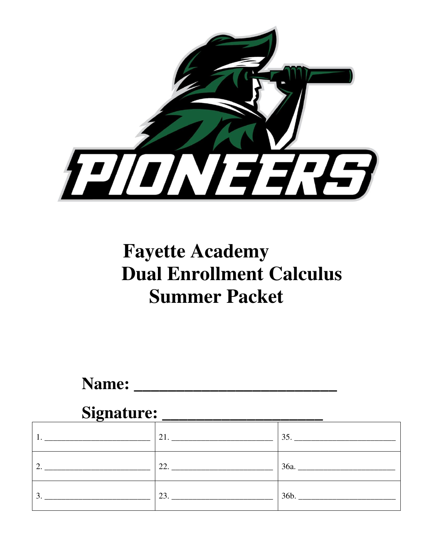

# **Fayette Academy Dual Enrollment Calculus Summer Packet**

Name:

## Signature:

|                                                                                                                            | <b>21. Contract 21.</b> | 35.  |
|----------------------------------------------------------------------------------------------------------------------------|-------------------------|------|
| 2.                                                                                                                         | 22.                     | 36a. |
| 3.<br><u> 1980 - Jan Stein Stein Stein Stein Stein Stein Stein Stein Stein Stein Stein Stein Stein Stein Stein Stein S</u> | 23.                     | 36b. |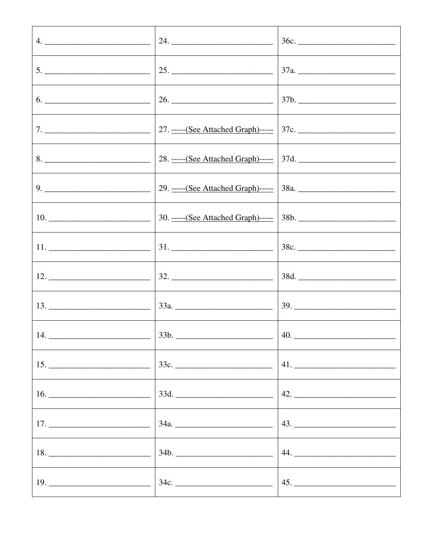|                                                                           | 36c. |
|---------------------------------------------------------------------------|------|
| $\frac{1}{25}$ .                                                          |      |
|                                                                           |      |
|                                                                           |      |
|                                                                           |      |
|                                                                           |      |
|                                                                           |      |
|                                                                           |      |
|                                                                           |      |
|                                                                           |      |
| 14. $\frac{1}{2}$ 33b. $\frac{1}{2}$ 340. $\frac{1}{2}$ 40. $\frac{1}{2}$ |      |
|                                                                           |      |
|                                                                           |      |
|                                                                           |      |
|                                                                           |      |
| $34c.$ 45.                                                                |      |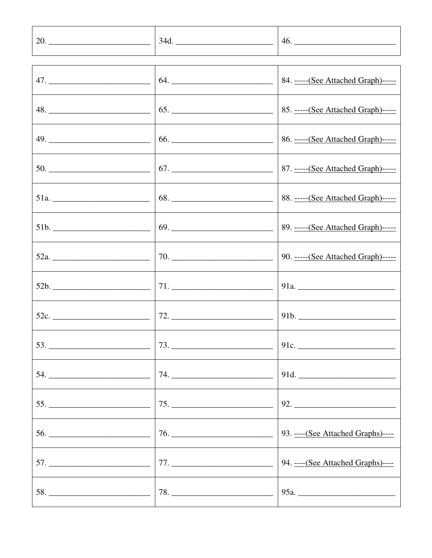|                       |     | 46.                                 |
|-----------------------|-----|-------------------------------------|
|                       |     |                                     |
|                       |     | 84. ----- (See Attached Graph)----- |
|                       |     |                                     |
|                       | 66. | 86. ----- (See Attached Graph)----- |
| $50.$ $\qquad \qquad$ |     |                                     |
|                       |     | 88. ----- (See Attached Graph)----- |
| 51b.                  |     |                                     |
|                       |     | 90. ----- (See Attached Graph)----- |
|                       |     |                                     |
|                       |     |                                     |
|                       |     |                                     |
|                       |     |                                     |
|                       |     |                                     |
|                       |     |                                     |
|                       |     | 94. ---- (See Attached Graphs)----  |
|                       |     |                                     |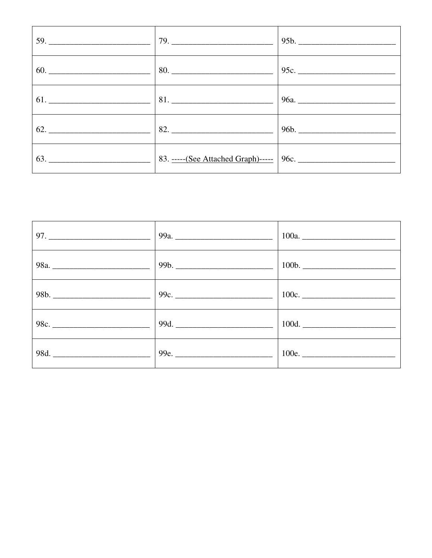| 59.                                               | 79. | 95b. |
|---------------------------------------------------|-----|------|
|                                                   | 80. | 95c. |
| $\begin{bmatrix} 61. & 81. & 81. & \end{bmatrix}$ |     |      |
| 62.                                               | 82. |      |
|                                                   |     |      |

|      | 99b. |       |
|------|------|-------|
| 98b. | 99c. | 100c. |
|      | 99d. | 100d. |
| 98d. |      | 100e. |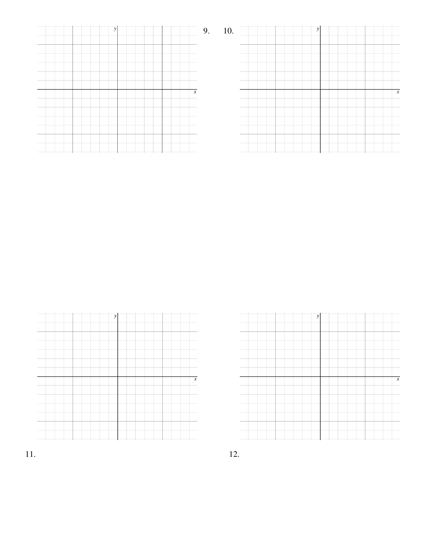| y |                  | 10.<br>9. |
|---|------------------|-----------|
|   |                  |           |
|   | $\boldsymbol{x}$ |           |
|   |                  |           |
|   |                  |           |

|  |  |  | $\mathbf{y}$ |  |  |  |  |                            |
|--|--|--|--------------|--|--|--|--|----------------------------|
|  |  |  |              |  |  |  |  |                            |
|  |  |  |              |  |  |  |  |                            |
|  |  |  |              |  |  |  |  |                            |
|  |  |  |              |  |  |  |  |                            |
|  |  |  |              |  |  |  |  |                            |
|  |  |  |              |  |  |  |  |                            |
|  |  |  |              |  |  |  |  | $\boldsymbol{\mathcal{X}}$ |
|  |  |  |              |  |  |  |  |                            |
|  |  |  |              |  |  |  |  |                            |
|  |  |  |              |  |  |  |  |                            |
|  |  |  |              |  |  |  |  |                            |
|  |  |  |              |  |  |  |  |                            |
|  |  |  |              |  |  |  |  |                            |
|  |  |  |              |  |  |  |  |                            |



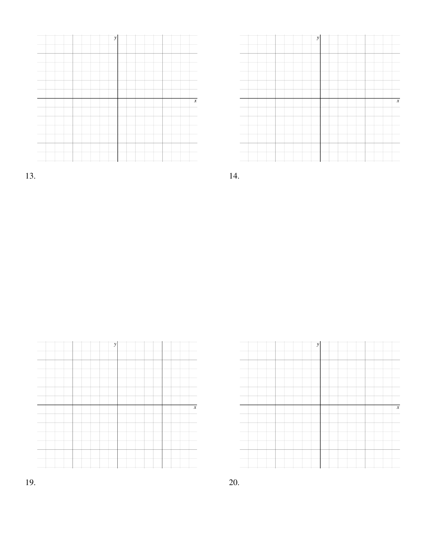|  | y |  |                  |
|--|---|--|------------------|
|  |   |  |                  |
|  |   |  |                  |
|  |   |  |                  |
|  |   |  |                  |
|  |   |  |                  |
|  |   |  |                  |
|  |   |  |                  |
|  |   |  | $\boldsymbol{x}$ |
|  |   |  |                  |
|  |   |  |                  |
|  |   |  |                  |
|  |   |  |                  |

|  | $\overline{y}$ |  |                  |
|--|----------------|--|------------------|
|  |                |  |                  |
|  |                |  |                  |
|  |                |  |                  |
|  |                |  |                  |
|  |                |  |                  |
|  |                |  | $\boldsymbol{x}$ |
|  |                |  |                  |
|  |                |  |                  |
|  |                |  |                  |
|  |                |  |                  |
|  |                |  |                  |

13. 14.



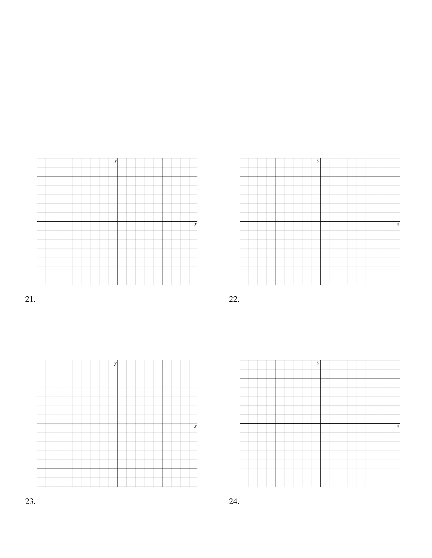|  |  |  | v |  |  |  |  |                  |
|--|--|--|---|--|--|--|--|------------------|
|  |  |  |   |  |  |  |  |                  |
|  |  |  |   |  |  |  |  |                  |
|  |  |  |   |  |  |  |  |                  |
|  |  |  |   |  |  |  |  |                  |
|  |  |  |   |  |  |  |  |                  |
|  |  |  |   |  |  |  |  |                  |
|  |  |  |   |  |  |  |  |                  |
|  |  |  |   |  |  |  |  |                  |
|  |  |  |   |  |  |  |  |                  |
|  |  |  |   |  |  |  |  |                  |
|  |  |  |   |  |  |  |  |                  |
|  |  |  |   |  |  |  |  |                  |
|  |  |  |   |  |  |  |  |                  |
|  |  |  |   |  |  |  |  |                  |
|  |  |  |   |  |  |  |  | $\boldsymbol{x}$ |
|  |  |  |   |  |  |  |  |                  |
|  |  |  |   |  |  |  |  |                  |
|  |  |  |   |  |  |  |  |                  |
|  |  |  |   |  |  |  |  |                  |
|  |  |  |   |  |  |  |  |                  |
|  |  |  |   |  |  |  |  |                  |
|  |  |  |   |  |  |  |  |                  |
|  |  |  |   |  |  |  |  |                  |
|  |  |  |   |  |  |  |  |                  |
|  |  |  |   |  |  |  |  |                  |
|  |  |  |   |  |  |  |  |                  |
|  |  |  |   |  |  |  |  |                  |
|  |  |  |   |  |  |  |  |                  |
|  |  |  |   |  |  |  |  |                  |





21. 22.

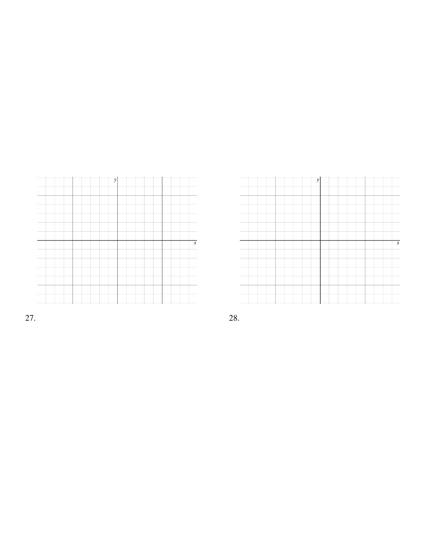|  |  |  |  | $\overline{\mathbf{v}}$ |  |  |  |  |                  |
|--|--|--|--|-------------------------|--|--|--|--|------------------|
|  |  |  |  |                         |  |  |  |  |                  |
|  |  |  |  |                         |  |  |  |  |                  |
|  |  |  |  |                         |  |  |  |  |                  |
|  |  |  |  |                         |  |  |  |  |                  |
|  |  |  |  |                         |  |  |  |  |                  |
|  |  |  |  |                         |  |  |  |  |                  |
|  |  |  |  |                         |  |  |  |  |                  |
|  |  |  |  |                         |  |  |  |  |                  |
|  |  |  |  |                         |  |  |  |  | $\boldsymbol{x}$ |
|  |  |  |  |                         |  |  |  |  |                  |
|  |  |  |  |                         |  |  |  |  |                  |
|  |  |  |  |                         |  |  |  |  |                  |
|  |  |  |  |                         |  |  |  |  |                  |
|  |  |  |  |                         |  |  |  |  |                  |
|  |  |  |  |                         |  |  |  |  |                  |

|  |  |  |  | ν |  |  |  |  |                     |
|--|--|--|--|---|--|--|--|--|---------------------|
|  |  |  |  |   |  |  |  |  |                     |
|  |  |  |  |   |  |  |  |  |                     |
|  |  |  |  |   |  |  |  |  |                     |
|  |  |  |  |   |  |  |  |  |                     |
|  |  |  |  |   |  |  |  |  |                     |
|  |  |  |  |   |  |  |  |  |                     |
|  |  |  |  |   |  |  |  |  | $\boldsymbol{\chi}$ |
|  |  |  |  |   |  |  |  |  |                     |
|  |  |  |  |   |  |  |  |  |                     |
|  |  |  |  |   |  |  |  |  |                     |
|  |  |  |  |   |  |  |  |  |                     |
|  |  |  |  |   |  |  |  |  |                     |
|  |  |  |  |   |  |  |  |  |                     |
|  |  |  |  |   |  |  |  |  |                     |

27. 28.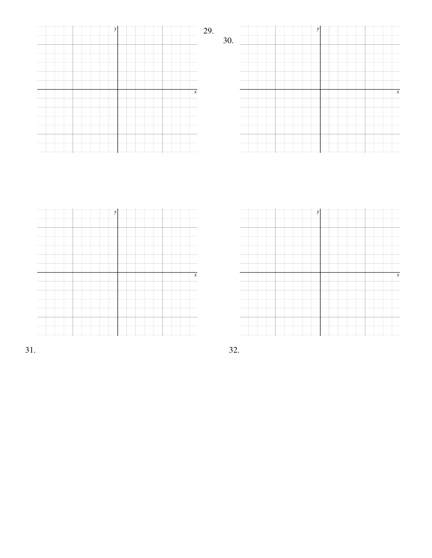|  | $\boldsymbol{y}$ |  | 29.              |     |  | $\boldsymbol{y}$ |  |                |
|--|------------------|--|------------------|-----|--|------------------|--|----------------|
|  |                  |  |                  | 30. |  |                  |  |                |
|  |                  |  |                  |     |  |                  |  |                |
|  |                  |  |                  |     |  |                  |  |                |
|  |                  |  | $\overline{x}$   |     |  |                  |  | $\overline{x}$ |
|  |                  |  |                  |     |  |                  |  |                |
|  |                  |  |                  |     |  |                  |  |                |
|  |                  |  |                  |     |  |                  |  |                |
|  |                  |  |                  |     |  |                  |  |                |
|  |                  |  |                  |     |  |                  |  |                |
|  |                  |  |                  |     |  |                  |  |                |
|  |                  |  |                  |     |  |                  |  |                |
|  | $\boldsymbol{y}$ |  |                  |     |  | $\mathbf{y}$     |  |                |
|  |                  |  |                  |     |  |                  |  |                |
|  |                  |  |                  |     |  |                  |  |                |
|  |                  |  |                  |     |  |                  |  |                |
|  |                  |  |                  |     |  |                  |  |                |
|  |                  |  | $\boldsymbol{x}$ |     |  |                  |  | $\overline{x}$ |
|  |                  |  |                  |     |  |                  |  |                |
|  |                  |  |                  |     |  |                  |  |                |
|  |                  |  |                  |     |  |                  |  |                |
|  |                  |  |                  |     |  |                  |  |                |

31. 32.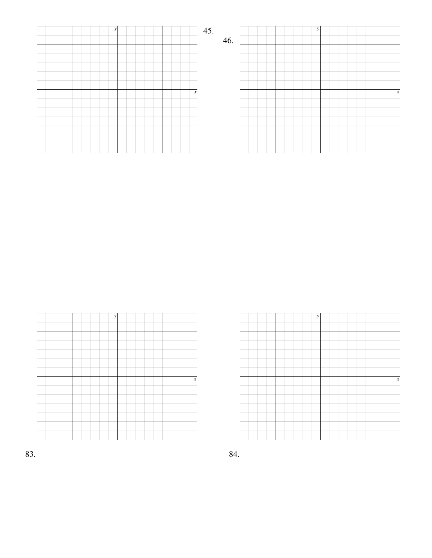| $\mathcal{Y}$    | 45.<br>46. | $\mathcal{Y}$ |                  |
|------------------|------------|---------------|------------------|
|                  |            |               |                  |
|                  |            |               |                  |
| $\boldsymbol{x}$ |            |               | $\boldsymbol{x}$ |
|                  |            |               |                  |
|                  |            |               |                  |
|                  |            |               |                  |





83. 84.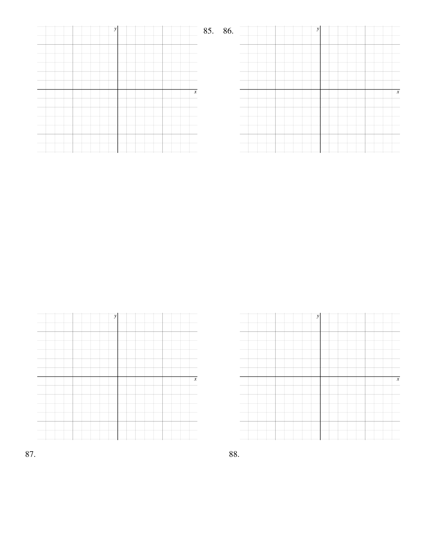| $\mathcal{Y}$    | 85. 86.<br>y     |
|------------------|------------------|
|                  |                  |
|                  |                  |
| $\boldsymbol{x}$ | $\boldsymbol{x}$ |
|                  |                  |
|                  |                  |
|                  |                  |





87. 88.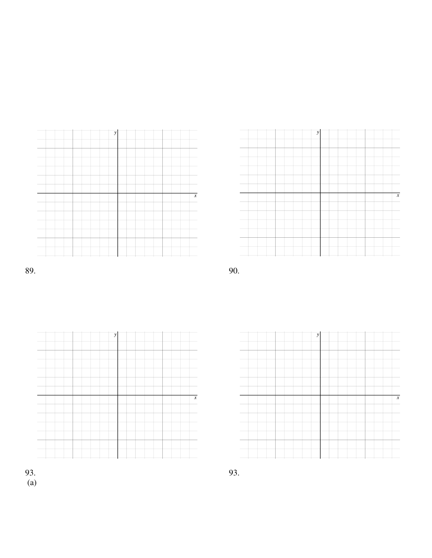









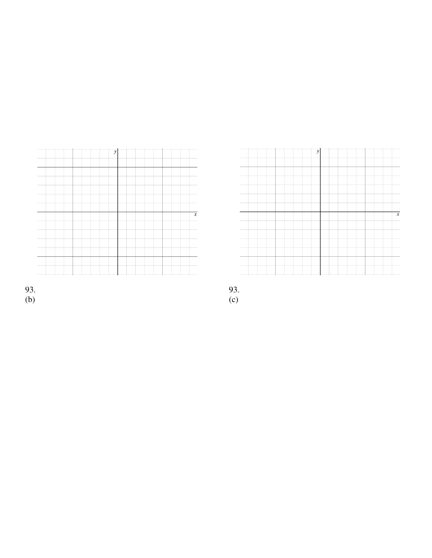



93.<br>(b)

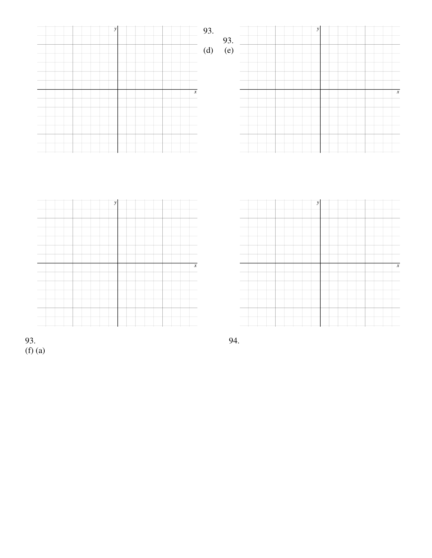

93. 94. (f) (a)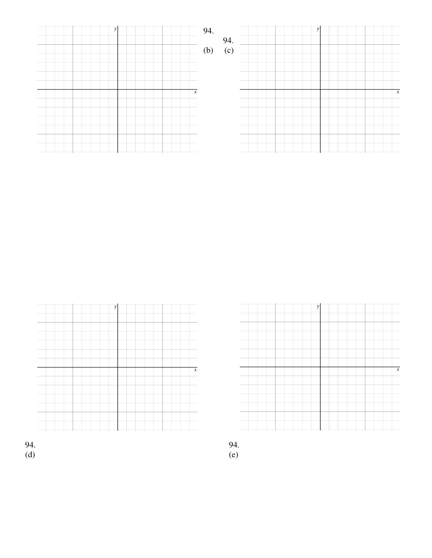





 $\overline{x}$ 

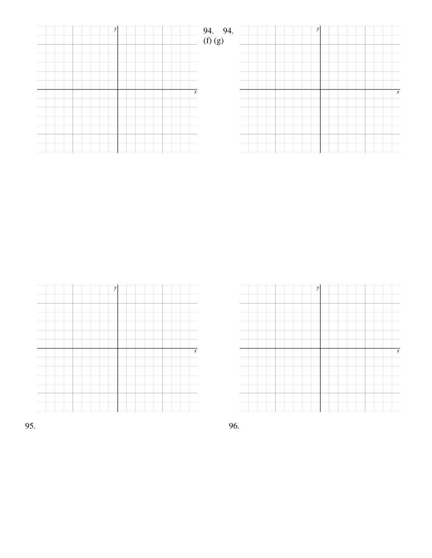| y                | $=$ 94. 94.<br>(f) (g)<br>$\mathcal{Y}$ |                  |
|------------------|-----------------------------------------|------------------|
|                  |                                         |                  |
|                  |                                         |                  |
|                  |                                         |                  |
| $\boldsymbol{x}$ |                                         | $\boldsymbol{x}$ |
|                  |                                         |                  |
|                  |                                         |                  |





95. 96.